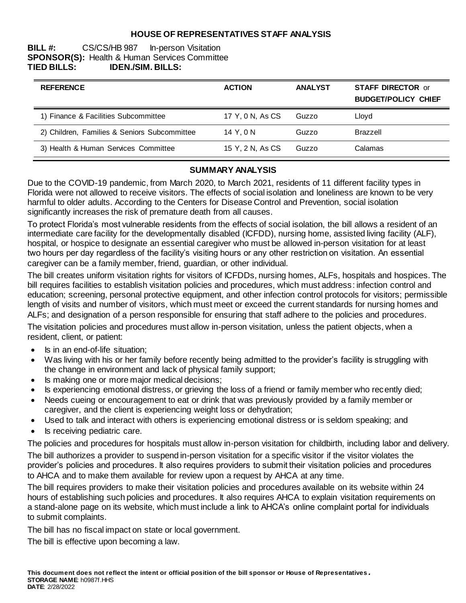## **HOUSE OF REPRESENTATIVES STAFF ANALYSIS**

### **BILL #:** CS/CS/HB 987 In-person Visitation **SPONSOR(S):** Health & Human Services Committee **TIED BILLS: IDEN./SIM. BILLS:**

| <b>REFERENCE</b>                             | <b>ACTION</b>    | <b>ANALYST</b> | <b>STAFF DIRECTOR or</b><br><b>BUDGET/POLICY CHIEF</b> |
|----------------------------------------------|------------------|----------------|--------------------------------------------------------|
| 1) Finance & Facilities Subcommittee         | 17 Y, 0 N, As CS | Guzzo          | Lloyd                                                  |
| 2) Children, Families & Seniors Subcommittee | 14 Y.ON          | Guzzo          | <b>Brazzell</b>                                        |
| 3) Health & Human Services Committee         | 15 Y, 2 N, As CS | Guzzo          | Calamas                                                |

### **SUMMARY ANALYSIS**

Due to the COVID-19 pandemic, from March 2020, to March 2021, residents of 11 different facility types in Florida were not allowed to receive visitors. The effects of social isolation and loneliness are known to be very harmful to older adults. According to the Centers for Disease Control and Prevention, social isolation significantly increases the risk of premature death from all causes.

To protect Florida's most vulnerable residents from the effects of social isolation, the bill allows a resident of an intermediate care facility for the developmentally disabled (ICFDD), nursing home, assisted living facility (ALF), hospital, or hospice to designate an essential caregiver who must be allowed in-person visitation for at least two hours per day regardless of the facility's visiting hours or any other restriction on visitation. An essential caregiver can be a family member, friend, guardian, or other individual.

The bill creates uniform visitation rights for visitors of ICFDDs, nursing homes, ALFs, hospitals and hospices. The bill requires facilities to establish visitation policies and procedures, which must address: infection control and education; screening, personal protective equipment, and other infection control protocols for visitors; permissible length of visits and number of visitors, which must meet or exceed the current standards for nursing homes and ALFs; and designation of a person responsible for ensuring that staff adhere to the policies and procedures.

The visitation policies and procedures must allow in-person visitation, unless the patient objects, when a resident, client, or patient:

- Is in an end-of-life situation;
- Was living with his or her family before recently being admitted to the provider's facility is struggling with the change in environment and lack of physical family support;
- Is making one or more major medical decisions;
- Is experiencing emotional distress, or grieving the loss of a friend or family member who recently died;
- Needs cueing or encouragement to eat or drink that was previously provided by a family member or caregiver, and the client is experiencing weight loss or dehydration;
- Used to talk and interact with others is experiencing emotional distress or is seldom speaking; and
- Is receiving pediatric care.

The policies and procedures for hospitals must allow in-person visitation for childbirth, including labor and delivery.

The bill authorizes a provider to suspend in-person visitation for a specific visitor if the visitor violates the provider's policies and procedures. It also requires providers to submit their visitation policies and procedures to AHCA and to make them available for review upon a request by AHCA at any time.

The bill requires providers to make their visitation policies and procedures available on its website within 24 hours of establishing such policies and procedures. It also requires AHCA to explain visitation requirements on a stand-alone page on its website, which must include a link to AHCA's online complaint portal for individuals to submit complaints.

The bill has no fiscal impact on state or local government.

The bill is effective upon becoming a law.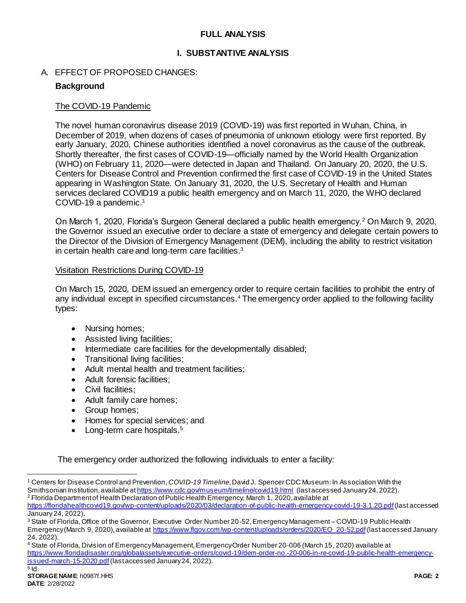### **FULL ANALYSIS**

### **I. SUBSTANTIVE ANALYSIS**

#### A. EFFECT OF PROPOSED CHANGES:

#### **Background**

#### The COVID-19 Pandemic

The novel human coronavirus disease 2019 (COVID-19) was first reported in Wuhan, China, in December of 2019, when dozens of cases of pneumonia of unknown etiology were first reported. By early January, 2020, Chinese authorities identified a novel coronavirus as the cause of the outbreak. Shortly thereafter, the first cases of COVID-19—officially named by the World Health Organization (WHO) on February 11, 2020—were detected in Japan and Thailand. On January 20, 2020, the U.S. Centers for Disease Control and Prevention confirmed the first case of COVID-19 in the United States appearing in Washington State. On January 31, 2020, the U.S. Secretary of Health and Human services declared COVID19 a public health emergency and on March 11, 2020, the WHO declared COVID-19 a pandemic. 1

On March 1, 2020, Florida's Surgeon General declared a public health emergency.<sup>2</sup> On March 9, 2020, the Governor issued an executive order to declare a state of emergency and delegate certain powers to the Director of the Division of Emergency Management (DEM), including the ability to restrict visitation in certain health care and long-term care facilities.<sup>3</sup>

#### Visitation Restrictions During COVID-19

On March 15, 2020, DEM issued an emergency order to require certain facilities to prohibit the entry of any individual except in specified circumstances.<sup>4</sup> The emergency order applied to the following facility types:

- Nursing homes;
- Assisted living facilities;
- Intermediate care facilities for the developmentally disabled;
- Transitional living facilities;
- Adult mental health and treatment facilities;
- Adult forensic facilities;
- Civil facilities;
- Adult family care homes;
- Group homes;
- Homes for special services; and
- Long-term care hospitals.<sup>5</sup>

The emergency order authorized the following individuals to enter a facility:

l

<sup>1</sup> Centers for Disease Control and Prevention, *COVID-19 Timeline*, David J. Spencer CDC Museum: In Association With the Smithsonian Institution, available a[t https://www.cdc.gov/museum/timeline/covid19.html](https://www.cdc.gov/museum/timeline/covid19.html) (last accessed January 24, 2022). <sup>2</sup> Florida Department of Health Declaration of Public Health Emergency, March 1, 2020, available at

<https://floridahealthcovid19.gov/wp-content/uploads/2020/03/declaration-of-public-health-emergency-covid-19-3.1.20.pdf>(last accessed January 24, 2022).

<sup>&</sup>lt;sup>3</sup> State of Florida, Office of the Governor, Executive Order Number 20-52, Emergency Management – COVID-19 Public Health Emergency (March 9, 2020), available a[t https://www.flgov.com/wp-content/uploads/orders/2020/EO\\_20-52.pdf](https://www.flgov.com/wp-content/uploads/orders/2020/EO_20-52.pdf)(last accessed January 24, 2022).

<sup>4</sup> State of Florida, Division of Emergency Management, Emergency Order Number 20-006 (March 15, 2020) available at [https://www.floridadisaster.org/globalassets/executive-orders/covid-19/dem-order-no.-20-006-in-re-covid-19-public-health-emergency](https://www.floridadisaster.org/globalassets/executive-orders/covid-19/dem-order-no.-20-006-in-re-covid-19-public-health-emergency-issued-march-15-2020.pdf)[issued-march-15-2020.pdf](https://www.floridadisaster.org/globalassets/executive-orders/covid-19/dem-order-no.-20-006-in-re-covid-19-public-health-emergency-issued-march-15-2020.pdf)(last accessed January 24, 2022).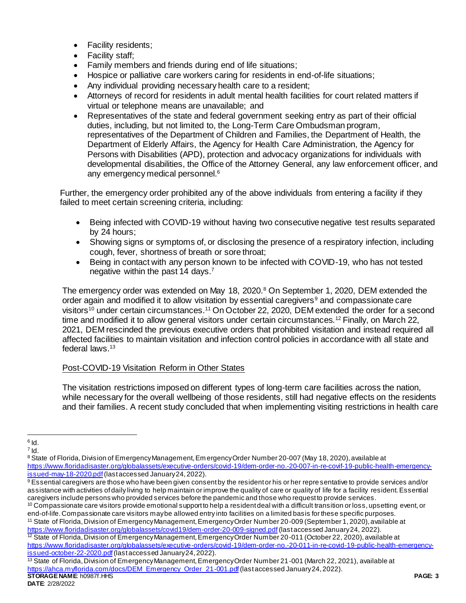- Facility residents;
- Facility staff;
- Family members and friends during end of life situations;
- Hospice or palliative care workers caring for residents in end-of-life situations;
- Any individual providing necessary health care to a resident;
- Attorneys of record for residents in adult mental health facilities for court related matters if virtual or telephone means are unavailable; and
- Representatives of the state and federal government seeking entry as part of their official duties, including, but not limited to, the Long-Term Care Ombudsman program, representatives of the Department of Children and Families, the Department of Health, the Department of Elderly Affairs, the Agency for Health Care Administration, the Agency for Persons with Disabilities (APD), protection and advocacy organizations for individuals with developmental disabilities, the Office of the Attorney General, any law enforcement officer, and any emergency medical personnel.<sup>6</sup>

Further, the emergency order prohibited any of the above individuals from entering a facility if they failed to meet certain screening criteria, including:

- Being infected with COVID-19 without having two consecutive negative test results separated by 24 hours;
- Showing signs or symptoms of, or disclosing the presence of a respiratory infection, including cough, fever, shortness of breath or sore throat;
- Being in contact with any person known to be infected with COVID-19, who has not tested negative within the past 14 days.<sup>7</sup>

The emergency order was extended on May 18, 2020.<sup>8</sup> On September 1, 2020, DEM extended the order again and modified it to allow visitation by essential caregivers<sup>9</sup> and compassionate care visitors<sup>10</sup> under certain circumstances.<sup>11</sup> On October 22, 2020, DEM extended the order for a second time and modified it to allow general visitors under certain circumstances.<sup>12</sup> Finally, on March 22, 2021, DEM rescinded the previous executive orders that prohibited visitation and instead required all affected facilities to maintain visitation and infection control policies in accordance with all state and federal laws.<sup>13</sup>

## Post-COVID-19 Visitation Reform in Other States

The visitation restrictions imposed on different types of long-term care facilities across the nation, while necessary for the overall wellbeing of those residents, still had negative effects on the residents and their families. A recent study concluded that when implementing visiting restrictions in health care

<sup>11</sup> State of Florida, Division of Emergency Management, Emergency Order Number 20-009 (September 1, 2020), available at <https://www.floridadisaster.org/globalassets/covid19/dem-order-20-009-signed.pdf>(last accessed January 24, 2022). <sup>12</sup> State of Florida, Division of Emergency Management, Emergency Order Number 20-011 (October 22, 2020), available at

[https://www.floridadisaster.org/globalassets/executive-orders/covid-19/dem-order-no.-20-011-in-re-covid-19-public-health-emergency](https://www.floridadisaster.org/globalassets/executive-orders/covid-19/dem-order-no.-20-011-in-re-covid-19-public-health-emergency-issued-october-22-2020.pdf)[issued-october-22-2020.pdf](https://www.floridadisaster.org/globalassets/executive-orders/covid-19/dem-order-no.-20-011-in-re-covid-19-public-health-emergency-issued-october-22-2020.pdf) (last accessed January 24, 2022).

 $\overline{a}$  $^6$  Id.

 $^7$  Id.

<sup>8</sup> State of Florida, Division of Emergency Management, Em ergency Order Number 20-007 (May 18, 2020), available at [https://www.floridadisaster.org/globalassets/executive-orders/covid-19/dem-order-no.-20-007-in-re-covif-19-public-health-emergency](https://www.floridadisaster.org/globalassets/executive-orders/covid-19/dem-order-no.-20-007-in-re-covif-19-public-health-emergency-issued-may-18-2020.pdf)[issued-may-18-2020.pdf](https://www.floridadisaster.org/globalassets/executive-orders/covid-19/dem-order-no.-20-007-in-re-covif-19-public-health-emergency-issued-may-18-2020.pdf)(last accessed January 24, 2022).

<sup>9</sup> Essential caregivers are those who have been given consent by the resident or his or her representative to provide services and/or assistance with activities of daily living to help maintain or improve the quality of care or quality of life for a facility resident. Essential caregivers include persons who provided services before the pandemic and those who request to provide services.

<sup>&</sup>lt;sup>10</sup> Compassionate care visitors provide emotional support to help a resident deal with a difficult transition or loss, upsetting event, or end-of-life. Compassionate care visitors maybe allowed entry into facilities on a limited basis for these specific purposes.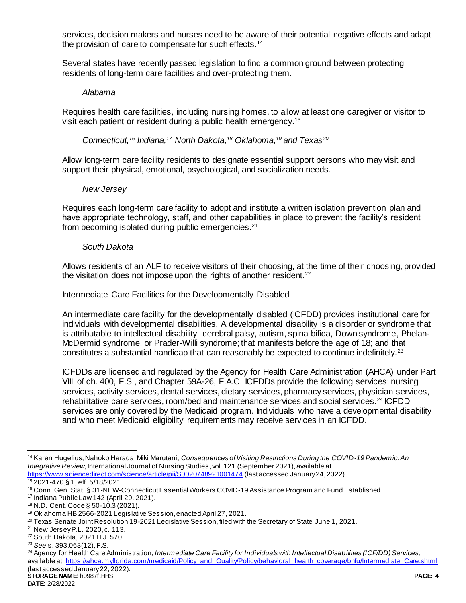services, decision makers and nurses need to be aware of their potential negative effects and adapt the provision of care to compensate for such effects.<sup>14</sup>

Several states have recently passed legislation to find a common ground between protecting residents of long-term care facilities and over-protecting them.

#### *Alabama*

Requires health care facilities, including nursing homes, to allow at least one caregiver or visitor to visit each patient or resident during a public health emergency.<sup>15</sup>

*Connecticut,<sup>16</sup> Indiana,<sup>17</sup> North Dakota, <sup>18</sup> Oklahoma,<sup>19</sup> and Texas<sup>20</sup>*

Allow long-term care facility residents to designate essential support persons who may visit and support their physical, emotional, psychological, and socialization needs.

#### *New Jersey*

Requires each long-term care facility to adopt and institute a written isolation prevention plan and have appropriate technology, staff, and other capabilities in place to prevent the facility's resident from becoming isolated during public emergencies.<sup>21</sup>

### *South Dakota*

Allows residents of an ALF to receive visitors of their choosing, at the time of their choosing, provided the visitation does not impose upon the rights of another resident. $22$ 

#### Intermediate Care Facilities for the Developmentally Disabled

An intermediate care facility for the developmentally disabled (ICFDD) provides institutional care for individuals with developmental disabilities. A developmental disability is a disorder or syndrome that is attributable to intellectual disability, cerebral palsy, autism, spina bifida, Down syndrome, Phelan-McDermid syndrome, or Prader-Willi syndrome; that manifests before the age of 18; and that constitutes a substantial handicap that can reasonably be expected to continue indefinitely.<sup>23</sup>

ICFDDs are licensed and regulated by the Agency for Health Care Administration (AHCA) under Part VIII of ch. 400, F.S., and Chapter 59A-26, F.A.C. ICFDDs provide the following services: nursing services, activity services, dental services, dietary services, pharmacy services, physician services, rehabilitative care services, room/bed and maintenance services and social services.<sup>24</sup> ICFDD services are only covered by the Medicaid program. Individuals who have a developmental disability and who meet Medicaid eligibility requirements may receive services in an ICFDD.

 $\overline{a}$ <sup>14</sup> Karen Hugelius, Nahoko Harada, Miki Marutani, *Consequences of Visiting Restrictions During the COVID-19 Pandemic: An Integrative Review*, International Journal of Nursing Studies, vol. 121 (September 2021), available at <https://www.sciencedirect.com/science/article/pii/S0020748921001474> (last accessed January 24, 2022).

<sup>15</sup> 2021-470,§ 1, eff. 5/18/2021.

<sup>16</sup> Conn. Gen. Stat. § 31-NEW-Connecticut Essential Workers COVID-19 Assistance Program and Fund Established.

<sup>17</sup> Indiana Public Law 142 (April 29, 2021).

<sup>18</sup> N.D. Cent. Code § 50-10.3 (2021).

<sup>19</sup> Oklahoma HB 2566-2021 Legislative Session, enacted April 27, 2021.

<sup>&</sup>lt;sup>20</sup> Texas Senate Joint Resolution 19-2021 Legislative Session, filed with the Secretary of State June 1, 2021.

<sup>21</sup> New Jersey P.L. 2020, c. 113.

<sup>22</sup> South Dakota, 2021 H.J. 570.

<sup>23</sup> *See* s. 393.063(12), F.S.

**STORAGE NAME**: h0987f.HHS **PAGE: 4** <sup>24</sup> Agency for Health Care Administration, *Intermediate Care Facility for Individuals with Intellectual Disabilities (ICF/DD) Services,*  available at[: https://ahca.myflorida.com/medicaid/Policy\\_and\\_Quality/Policy/behavioral\\_health\\_coverage/bhfu/Intermediate\\_Care.shtml](https://ahca.myflorida.com/medicaid/Policy_and_Quality/Policy/behavioral_health_coverage/bhfu/Intermediate_Care.shtml) (last accessed January 22, 2022).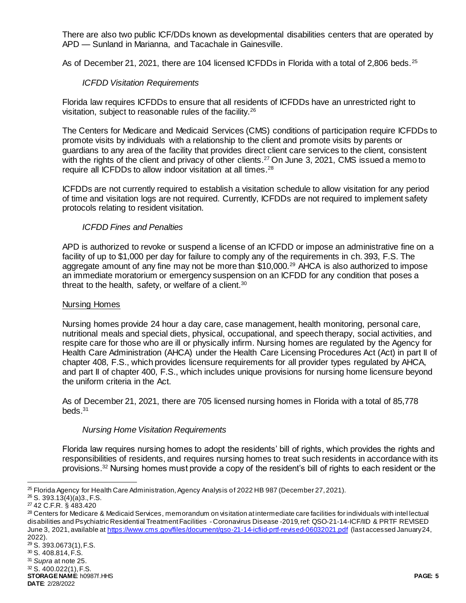There are also two public ICF/DDs known as developmental disabilities centers that are operated by APD — Sunland in Marianna, and Tacachale in Gainesville.

As of December 21, 2021, there are 104 licensed ICFDDs in Florida with a total of 2,806 beds.<sup>25</sup>

### *ICFDD Visitation Requirements*

Florida law requires ICFDDs to ensure that all residents of ICFDDs have an unrestricted right to visitation, subject to reasonable rules of the facility.<sup>26</sup>

The Centers for Medicare and Medicaid Services (CMS) conditions of participation require ICFDDs to promote visits by individuals with a relationship to the client and promote visits by parents or guardians to any area of the facility that provides direct client care services to the client, consistent with the rights of the client and privacy of other clients.<sup>27</sup> On June 3, 2021, CMS issued a memo to require all ICFDDs to allow indoor visitation at all times.<sup>28</sup>

ICFDDs are not currently required to establish a visitation schedule to allow visitation for any period of time and visitation logs are not required. Currently, ICFDDs are not required to implement safety protocols relating to resident visitation.

#### *ICFDD Fines and Penalties*

APD is authorized to revoke or suspend a license of an ICFDD or impose an administrative fine on a facility of up to \$1,000 per day for failure to comply any of the requirements in ch. 393, F.S. The aggregate amount of any fine may not be more than \$10,000.<sup>29</sup> AHCA is also authorized to impose an immediate moratorium or emergency suspension on an ICFDD for any condition that poses a threat to the health, safety, or welfare of a client.<sup>30</sup>

#### Nursing Homes

Nursing homes provide 24 hour a day care, case management, health monitoring, personal care, nutritional meals and special diets, physical, occupational, and speech therapy, social activities, and respite care for those who are ill or physically infirm. Nursing homes are regulated by the Agency for Health Care Administration (AHCA) under the Health Care Licensing Procedures Act (Act) in part II of chapter 408, F.S., which provides licensure requirements for all provider types regulated by AHCA, and part II of chapter 400, F.S., which includes unique provisions for nursing home licensure beyond the uniform criteria in the Act.

As of December 21, 2021, there are 705 licensed nursing homes in Florida with a total of 85,778 beds. $31$ 

#### *Nursing Home Visitation Requirements*

Florida law requires nursing homes to adopt the residents' bill of rights, which provides the rights and responsibilities of residents, and requires nursing homes to treat such residents in accordance with its provisions.<sup>32</sup> Nursing homes must provide a copy of the resident's bill of rights to each resident or the

l

**STORAGE NAME**: h0987f.HHS **PAGE: 5** <sup>31</sup> *Supra* at note 25. <sup>32</sup> S. 400.022(1), F.S.

**DATE**: 2/28/2022

<sup>25</sup> Florida Agency for Health Care Administration, Agency Analysis of 2022 HB 987 (December 27, 2021).

 $26$  S. 393.13(4)(a)3., F.S.

<sup>27</sup> 42 C.F.R. § 483.420

<sup>&</sup>lt;sup>28</sup> Centers for Medicare & Medicaid Services, memorandum on visitation at intermediate care facilities for individuals with intel lectual disabilities and Psychiatric Residential Treatment Facilities - Coronavirus Disease -2019, ref: QSO-21-14-ICF/IID & PRTF REVISED June 3, 2021, available at<https://www.cms.gov/files/document/qso-21-14-icfiid-prtf-revised-06032021.pdf> (last accessed January 24, 2022).

<sup>29</sup> S. 393.0673(1), F.S.

<sup>30</sup> S. 408.814, F.S.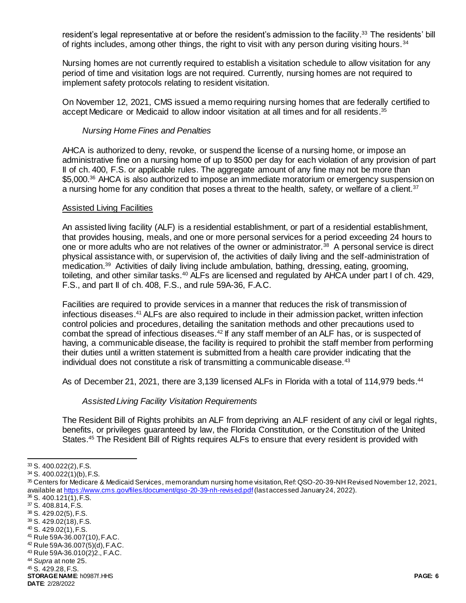resident's legal representative at or before the resident's admission to the facility.<sup>33</sup> The residents' bill of rights includes, among other things, the right to visit with any person during visiting hours.<sup>34</sup>

Nursing homes are not currently required to establish a visitation schedule to allow visitation for any period of time and visitation logs are not required. Currently, nursing homes are not required to implement safety protocols relating to resident visitation.

On November 12, 2021, CMS issued a memo requiring nursing homes that are federally certified to accept Medicare or Medicaid to allow indoor visitation at all times and for all residents.<sup>35</sup>

#### *Nursing Home Fines and Penalties*

AHCA is authorized to deny, revoke, or suspend the license of a nursing home, or impose an administrative fine on a nursing home of up to \$500 per day for each violation of any provision of part II of ch. 400, F.S. or applicable rules. The aggregate amount of any fine may not be more than \$5,000.<sup>36</sup> AHCA is also authorized to impose an immediate moratorium or emergency suspension on a nursing home for any condition that poses a threat to the health, safety, or welfare of a client.<sup>37</sup>

#### Assisted Living Facilities

An assisted living facility (ALF) is a residential establishment, or part of a residential establishment, that provides housing, meals, and one or more personal services for a period exceeding 24 hours to one or more adults who are not relatives of the owner or administrator.<sup>38</sup> A personal service is direct physical assistance with, or supervision of, the activities of daily living and the self-administration of medication.<sup>39</sup> Activities of daily living include ambulation, bathing, dressing, eating, grooming, toileting, and other similar tasks.<sup>40</sup> ALFs are licensed and regulated by AHCA under part I of ch. 429, F.S., and part II of ch. 408, F.S., and rule 59A-36, F.A.C.

Facilities are required to provide services in a manner that reduces the risk of transmission of infectious diseases. <sup>41</sup> ALFs are also required to include in their admission packet, written infection control policies and procedures, detailing the sanitation methods and other precautions used to combat the spread of infectious diseases.<sup>42</sup> If any staff member of an ALF has, or is suspected of having, a communicable disease, the facility is required to prohibit the staff member from performing their duties until a written statement is submitted from a health care provider indicating that the individual does not constitute a risk of transmitting a communicable disease. $43$ 

As of December 21, 2021, there are 3,139 licensed ALFs in Florida with a total of 114,979 beds.<sup>44</sup>

#### *Assisted Living Facility Visitation Requirements*

The Resident Bill of Rights prohibits an ALF from depriving an ALF resident of any civil or legal rights, benefits, or privileges guaranteed by law, the Florida Constitution, or the Constitution of the United States.<sup>45</sup> The Resident Bill of Rights requires ALFs to ensure that every resident is provided with

l

- <sup>40</sup> S. 429.02(1), F.S.
- <sup>41</sup> Rule 59A-36.007(10), F.A.C.
- <sup>42</sup> Rule 59A-36.007(5)(d), F.A.C.

<sup>45</sup> S. 429.28, F.S.

<sup>33</sup> S. 400.022(2), F.S.

<sup>34</sup> S. 400.022(1)(b), F.S.

<sup>35</sup> Centers for Medicare & Medicaid Services, memorandum nursing home visitation, Ref: QSO-20-39-NH Revised November 12, 2021, available at https://www.cms.gov/files/document/gso-20-39-nh-revised.pdf (last accessed January 24, 2022).

<sup>36</sup> S. 400.121(1), F.S.

<sup>37</sup> S. 408.814, F.S. <sup>38</sup> S. 429.02(5), F.S.

<sup>39</sup> S. 429.02(18), F.S.

<sup>43</sup> Rule 59A-36.010(2)2., F.A.C.

<sup>44</sup> *Supra* at note 25.

**STORAGE NAME**: h0987f.HHS **PAGE: 6**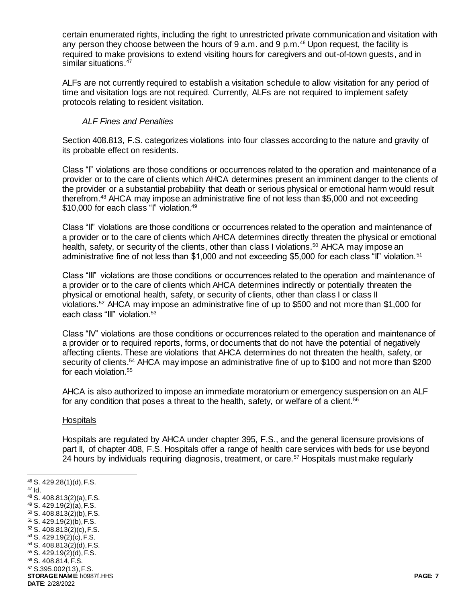certain enumerated rights, including the right to unrestricted private communication and visitation with any person they choose between the hours of 9 a.m. and 9 p.m.<sup>46</sup> Upon request, the facility is required to make provisions to extend visiting hours for caregivers and out-of-town guests, and in similar situations.<sup>47</sup>

ALFs are not currently required to establish a visitation schedule to allow visitation for any period of time and visitation logs are not required. Currently, ALFs are not required to implement safety protocols relating to resident visitation.

## *ALF Fines and Penalties*

Section 408.813, F.S. categorizes violations into four classes according to the nature and gravity of its probable effect on residents.

Class "I" violations are those conditions or occurrences related to the operation and maintenance of a provider or to the care of clients which AHCA determines present an imminent danger to the clients of the provider or a substantial probability that death or serious physical or emotional harm would result therefrom.<sup>48</sup> AHCA may impose an administrative fine of not less than \$5,000 and not exceeding \$10,000 for each class "I" violation.<sup>49</sup>

Class "II" violations are those conditions or occurrences related to the operation and maintenance of a provider or to the care of clients which AHCA determines directly threaten the physical or emotional health, safety, or security of the clients, other than class I violations.<sup>50</sup> AHCA may impose an administrative fine of not less than \$1,000 and not exceeding \$5,000 for each class "II" violation.<sup>51</sup>

Class "III" violations are those conditions or occurrences related to the operation and maintenance of a provider or to the care of clients which AHCA determines indirectly or potentially threaten the physical or emotional health, safety, or security of clients, other than class I or class II violations.<sup>52</sup> AHCA may impose an administrative fine of up to \$500 and not more than \$1,000 for each class "III" violation.<sup>53</sup>

Class "IV" violations are those conditions or occurrences related to the operation and maintenance of a provider or to required reports, forms, or documents that do not have the potential of negatively affecting clients. These are violations that AHCA determines do not threaten the health, safety, or security of clients.<sup>54</sup> AHCA may impose an administrative fine of up to \$100 and not more than \$200 for each violation.<sup>55</sup>

AHCA is also authorized to impose an immediate moratorium or emergency suspension on an ALF for any condition that poses a threat to the health, safety, or welfare of a client. $56$ 

## Hospitals

Hospitals are regulated by AHCA under chapter 395, F.S., and the general licensure provisions of part II, of chapter 408, F.S. Hospitals offer a range of health care services with beds for use beyond 24 hours by individuals requiring diagnosis, treatment, or care.<sup>57</sup> Hospitals must make regularly

<sup>46</sup> S. 429.28(1)(d), F.S.  $47$  Id.

l

- <sup>48</sup> S. 408.813(2)(a), F.S.
- <sup>49</sup> S. 429.19(2)(a), F.S. <sup>50</sup> S. 408.813(2)(b), F.S.
- <sup>51</sup> S. 429.19(2)(b), F.S. <sup>52</sup> S. 408.813(2)(c), F.S.
- $53$  S. 429.19(2)(c), F.S.
- <sup>54</sup> S. 408.813(2)(d), F.S.
- <sup>55</sup> S. 429.19(2)(d), F.S.
- <sup>56</sup> S. 408.814, F.S.
- <sup>57</sup> S.395.002(13), F.S.

**STORAGE NAME**: h0987f.HHS **PAGE: 7 DATE**: 2/28/2022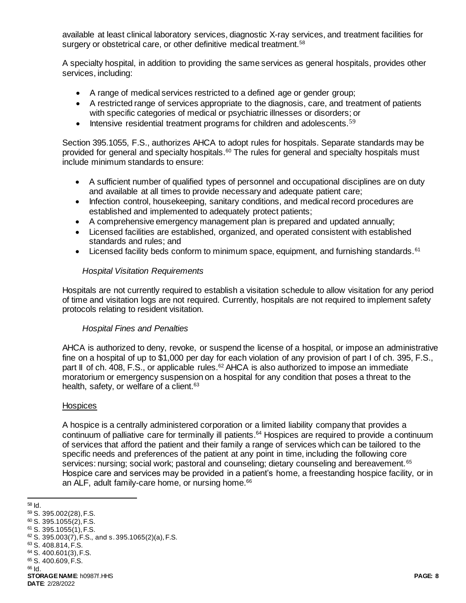available at least clinical laboratory services, diagnostic X-ray services, and treatment facilities for surgery or obstetrical care, or other definitive medical treatment.<sup>58</sup>

A specialty hospital, in addition to providing the same services as general hospitals, provides other services, including:

- A range of medical services restricted to a defined age or gender group;
- A restricted range of services appropriate to the diagnosis, care, and treatment of patients with specific categories of medical or psychiatric illnesses or disorders; or
- $\bullet$  Intensive residential treatment programs for children and adolescents.<sup>59</sup>

Section 395.1055, F.S., authorizes AHCA to adopt rules for hospitals. Separate standards may be provided for general and specialty hospitals.<sup>60</sup> The rules for general and specialty hospitals must include minimum standards to ensure:

- A sufficient number of qualified types of personnel and occupational disciplines are on duty and available at all times to provide necessary and adequate patient care;
- Infection control, housekeeping, sanitary conditions, and medical record procedures are established and implemented to adequately protect patients;
- A comprehensive emergency management plan is prepared and updated annually;
- Licensed facilities are established, organized, and operated consistent with established standards and rules; and
- Licensed facility beds conform to minimum space, equipment, and furnishing standards.<sup>61</sup>

#### *Hospital Visitation Requirements*

Hospitals are not currently required to establish a visitation schedule to allow visitation for any period of time and visitation logs are not required. Currently, hospitals are not required to implement safety protocols relating to resident visitation.

#### *Hospital Fines and Penalties*

AHCA is authorized to deny, revoke, or suspend the license of a hospital, or impose an administrative fine on a hospital of up to \$1,000 per day for each violation of any provision of part I of ch. 395, F.S., part II of ch. 408, F.S., or applicable rules.<sup>62</sup> AHCA is also authorized to impose an immediate moratorium or emergency suspension on a hospital for any condition that poses a threat to the health, safety, or welfare of a client.<sup>63</sup>

#### **Hospices**

A hospice is a centrally administered corporation or a limited liability company that provides a continuum of palliative care for terminally ill patients. <sup>64</sup> Hospices are required to provide a continuum of services that afford the patient and their family a range of services which can be tailored to the specific needs and preferences of the patient at any point in time, including the following core services: nursing; social work; pastoral and counseling; dietary counseling and bereavement.<sup>65</sup> Hospice care and services may be provided in a patient's home, a freestanding hospice facility, or in an ALF, adult family-care home, or nursing home.<sup>66</sup>

l <sup>58</sup> Id.

<sup>59</sup> S. 395.002(28), F.S.

<sup>60</sup> S. 395.1055(2), F.S.

<sup>61</sup> S. 395.1055(1), F.S.  $62$  S. 395.003(7), F.S., and s. 395.1065(2)(a), F.S.

<sup>63</sup> S. 408.814, F.S.

<sup>64</sup> S. 400.601(3), F.S.

<sup>65</sup> S. 400.609, F.S.

<sup>66</sup> Id.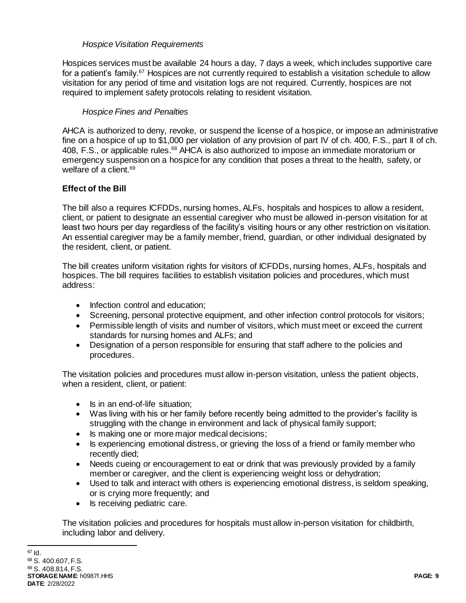## *Hospice Visitation Requirements*

Hospices services must be available 24 hours a day, 7 days a week, which includes supportive care for a patient's family.<sup>67</sup> Hospices are not currently required to establish a visitation schedule to allow visitation for any period of time and visitation logs are not required. Currently, hospices are not required to implement safety protocols relating to resident visitation.

## *Hospice Fines and Penalties*

AHCA is authorized to deny, revoke, or suspend the license of a hospice, or impose an administrative fine on a hospice of up to \$1,000 per violation of any provision of part IV of ch. 400, F.S., part II of ch. 408, F.S., or applicable rules.<sup>68</sup> AHCA is also authorized to impose an immediate moratorium or emergency suspension on a hospice for any condition that poses a threat to the health, safety, or welfare of a client.<sup>69</sup>

## **Effect of the Bill**

The bill also a requires ICFDDs, nursing homes, ALFs, hospitals and hospices to allow a resident, client, or patient to designate an essential caregiver who must be allowed in-person visitation for at least two hours per day regardless of the facility's visiting hours or any other restriction on visitation. An essential caregiver may be a family member, friend, guardian, or other individual designated by the resident, client, or patient.

The bill creates uniform visitation rights for visitors of ICFDDs, nursing homes, ALFs, hospitals and hospices. The bill requires facilities to establish visitation policies and procedures, which must address:

- Infection control and education;
- Screening, personal protective equipment, and other infection control protocols for visitors;
- Permissible length of visits and number of visitors, which must meet or exceed the current standards for nursing homes and ALFs; and
- Designation of a person responsible for ensuring that staff adhere to the policies and procedures.

The visitation policies and procedures must allow in-person visitation, unless the patient objects, when a resident, client, or patient:

- Is in an end-of-life situation:
- Was living with his or her family before recently being admitted to the provider's facility is struggling with the change in environment and lack of physical family support;
- Is making one or more major medical decisions;
- Is experiencing emotional distress, or grieving the loss of a friend or family member who recently died;
- Needs cueing or encouragement to eat or drink that was previously provided by a family member or caregiver, and the client is experiencing weight loss or dehydration;
- Used to talk and interact with others is experiencing emotional distress, is seldom speaking, or is crying more frequently; and
- Is receiving pediatric care.

The visitation policies and procedures for hospitals must allow in-person visitation for childbirth, including labor and delivery.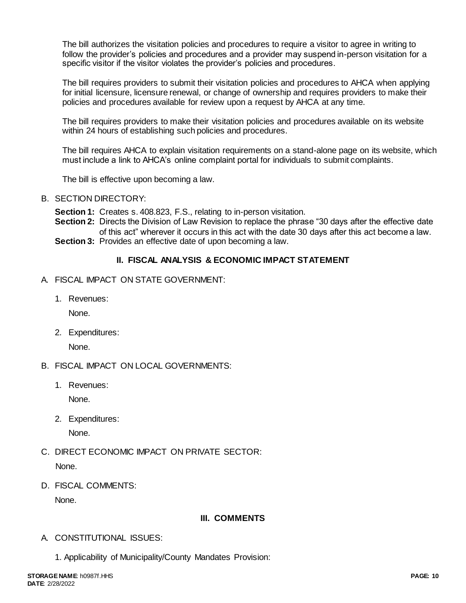The bill authorizes the visitation policies and procedures to require a visitor to agree in writing to follow the provider's policies and procedures and a provider may suspend in-person visitation for a specific visitor if the visitor violates the provider's policies and procedures.

The bill requires providers to submit their visitation policies and procedures to AHCA when applying for initial licensure, licensure renewal, or change of ownership and requires providers to make their policies and procedures available for review upon a request by AHCA at any time.

The bill requires providers to make their visitation policies and procedures available on its website within 24 hours of establishing such policies and procedures.

The bill requires AHCA to explain visitation requirements on a stand-alone page on its website, which must include a link to AHCA's online complaint portal for individuals to submit complaints.

The bill is effective upon becoming a law.

- B. SECTION DIRECTORY:
	- **Section 1:** Creates s. 408.823, F.S., relating to in-person visitation.
	- **Section 2:** Directs the Division of Law Revision to replace the phrase "30 days after the effective date of this act" wherever it occurs in this act with the date 30 days after this act become a law. **Section 3:** Provides an effective date of upon becoming a law.

## **II. FISCAL ANALYSIS & ECONOMIC IMPACT STATEMENT**

- A. FISCAL IMPACT ON STATE GOVERNMENT:
	- 1. Revenues:

None.

2. Expenditures:

None.

- B. FISCAL IMPACT ON LOCAL GOVERNMENTS:
	- 1. Revenues:

None.

2. Expenditures:

None.

- C. DIRECT ECONOMIC IMPACT ON PRIVATE SECTOR: None.
- D. FISCAL COMMENTS:

None.

## **III. COMMENTS**

- A. CONSTITUTIONAL ISSUES:
	- 1. Applicability of Municipality/County Mandates Provision: